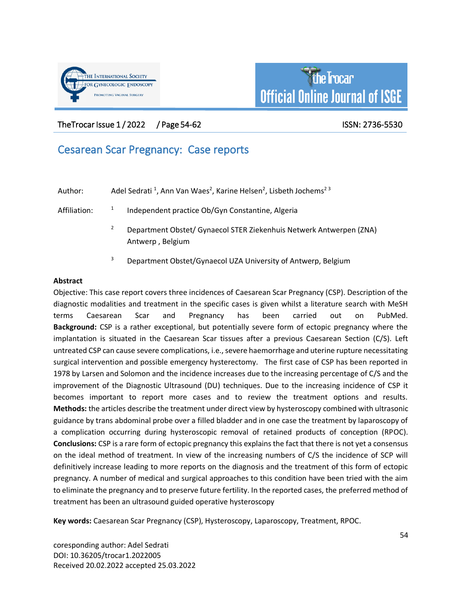



The Trocar Issue 1/2022 / Page 54-62 ISSN: 2736-5530

# Cesarean Scar Pregnancy: Case reports

| Author:      | Adel Sedrati <sup>1</sup> , Ann Van Waes <sup>2</sup> , Karine Helsen <sup>2</sup> , Lisbeth Jochems <sup>23</sup> |  |
|--------------|--------------------------------------------------------------------------------------------------------------------|--|
| Affiliation: | Independent practice Ob/Gyn Constantine, Algeria                                                                   |  |

- <sup>2</sup> Department Obstet/ Gynaecol STER Ziekenhuis Netwerk Antwerpen (ZNA) Antwerp , Belgium
- <sup>3</sup> Department Obstet/Gynaecol UZA University of Antwerp, Belgium

# **Abstract**

Objective: This case report covers three incidences of Caesarean Scar Pregnancy (CSP). Description of the diagnostic modalities and treatment in the specific cases is given whilst a literature search with MeSH terms Caesarean Scar and Pregnancy has been carried out on PubMed. **Background:** CSP is a rather exceptional, but potentially severe form of ectopic pregnancy where the implantation is situated in the Caesarean Scar tissues after a previous Caesarean Section (C/S). Left untreated CSP can cause severe complications, i.e., severe haemorrhage and uterine rupture necessitating surgical intervention and possible emergency hysterectomy. The first case of CSP has been reported in 1978 by Larsen and Solomon and the incidence increases due to the increasing percentage of C/S and the improvement of the Diagnostic Ultrasound (DU) techniques. Due to the increasing incidence of CSP it becomes important to report more cases and to review the treatment options and results. **Methods:** the articles describe the treatment under direct view by hysteroscopy combined with ultrasonic guidance by trans abdominal probe over a filled bladder and in one case the treatment by laparoscopy of a complication occurring during hysteroscopic removal of retained products of conception (RPOC). **Conclusions:** CSP is a rare form of ectopic pregnancy this explains the fact that there is not yet a consensus on the ideal method of treatment. In view of the increasing numbers of C/S the incidence of SCP will definitively increase leading to more reports on the diagnosis and the treatment of this form of ectopic pregnancy. A number of medical and surgical approaches to this condition have been tried with the aim to eliminate the pregnancy and to preserve future fertility. In the reported cases, the preferred method of treatment has been an ultrasound guided operative hysteroscopy

**Key words:** Caesarean Scar Pregnancy (CSP), Hysteroscopy, Laparoscopy, Treatment, RPOC.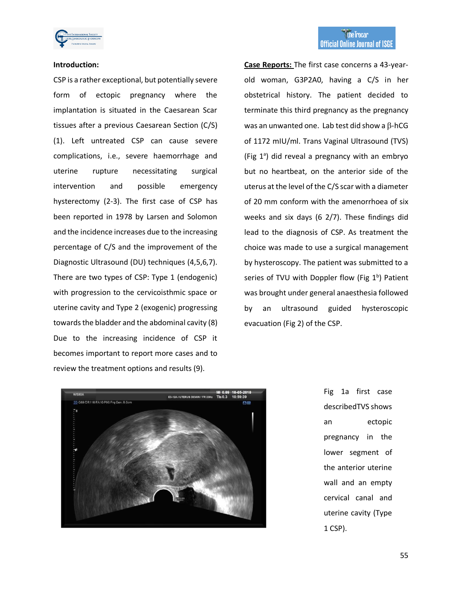

#### **Introduction:**

CSP is a rather exceptional, but potentially severe form of ectopic pregnancy where the implantation is situated in the Caesarean Scar tissues after a previous Caesarean Section (C/S) (1). Left untreated CSP can cause severe complications, i.e., severe haemorrhage and uterine rupture necessitating surgical intervention and possible emergency hysterectomy (2-3). The first case of CSP has been reported in 1978 by Larsen and Solomon and the incidence increases due to the increasing percentage of C/S and the improvement of the Diagnostic Ultrasound (DU) techniques (4,5,6,7). There are two types of CSP: Type 1 (endogenic) with progression to the cervicoisthmic space or uterine cavity and Type 2 (exogenic) progressing towards the bladder and the abdominal cavity (8) Due to the increasing incidence of CSP it becomes important to report more cases and to review the treatment options and results (9).

**Case Reports:** The first case concerns a 43-yearold woman, G3P2A0, having a C/S in her obstetrical history. The patient decided to terminate this third pregnancy as the pregnancy was an unwanted one. Lab test did show a  $\beta$ -hCG of 1172 mIU/ml. Trans Vaginal Ultrasound (TVS) (Fig  $1^{\circ}$ ) did reveal a pregnancy with an embryo but no heartbeat, on the anterior side of the uterus at the level of the C/S scar with a diameter of 20 mm conform with the amenorrhoea of six weeks and six days (6 2/7). These findings did lead to the diagnosis of CSP. As treatment the choice was made to use a surgical management by hysteroscopy. The patient was submitted to a series of TVU with Doppler flow (Fig  $1<sup>b</sup>$ ) Patient was brought under general anaesthesia followed by an ultrasound guided hysteroscopic evacuation (Fig 2) of the CSP.



Fig 1a first case describedTVS shows an ectopic pregnancy in the lower segment of the anterior uterine wall and an empty cervical canal and uterine cavity (Type 1 CSP).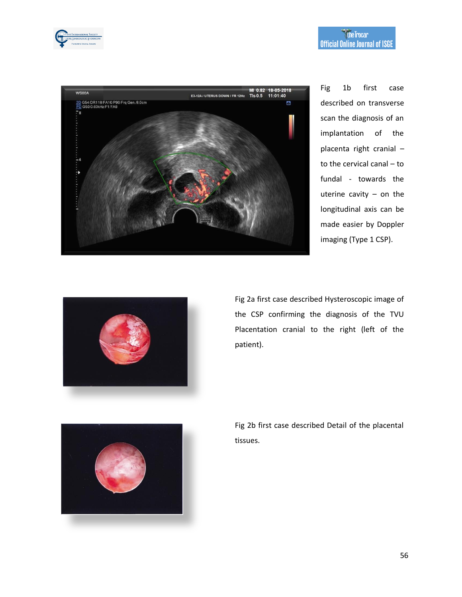



Fig 1b first case described on transverse scan the diagnosis of an implantation of the placenta right cranial – to the cervical canal – to fundal - towards the uterine cavity – on the longitudinal axis can be made easier by Doppler imaging (Type 1 CSP).



Fig 2a first case described Hysteroscopic image of the CSP confirming the diagnosis of the TVU Placentation cranial to the right (left of the patient).



Fig 2b first case described Detail of the placental tissues.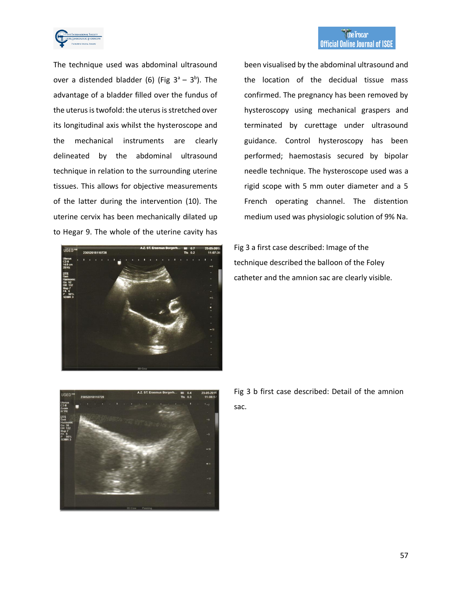

the Trocar **Official Online Journal of ISGE** 

The technique used was abdominal ultrasound over a distended bladder (6) (Fig  $3^a - 3^b$ ). The advantage of a bladder filled over the fundus of the uterus is twofold: the uterus is stretched over its longitudinal axis whilst the hysteroscope and the mechanical instruments are clearly delineated by the abdominal ultrasound technique in relation to the surrounding uterine tissues. This allows for objective measurements of the latter during the intervention (10). The uterine cervix has been mechanically dilated up to Hegar 9. The whole of the uterine cavity has



been visualised by the abdominal ultrasound and the location of the decidual tissue mass confirmed. The pregnancy has been removed by hysteroscopy using mechanical graspers and terminated by curettage under ultrasound guidance. Control hysteroscopy has been performed; haemostasis secured by bipolar needle technique. The hysteroscope used was a rigid scope with 5 mm outer diameter and a 5 French operating channel. The distention medium used was physiologic solution of 9% Na.

Fig 3 a first case described: Image of the technique described the balloon of the Foley catheter and the amnion sac are clearly visible.



Fig 3 b first case described: Detail of the amnion sac.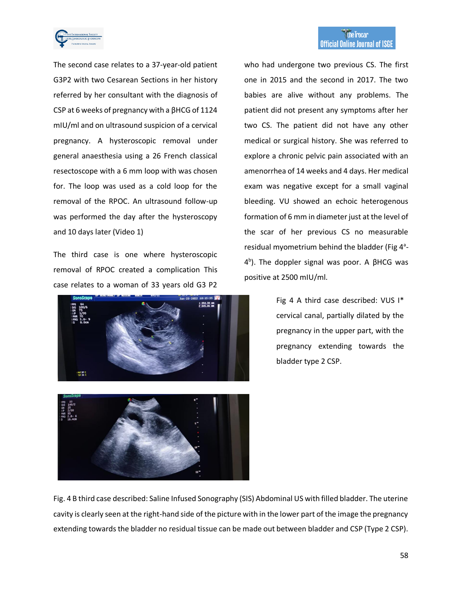

The second case relates to a 37-year-old patient G3P2 with two Cesarean Sections in her history referred by her consultant with the diagnosis of CSP at 6 weeks of pregnancy with a βHCG of 1124 mIU/ml and on ultrasound suspicion of a cervical pregnancy. A hysteroscopic removal under general anaesthesia using a 26 French classical resectoscope with a 6 mm loop with was chosen for. The loop was used as a cold loop for the removal of the RPOC. An ultrasound follow-up was performed the day after the hysteroscopy and 10 days later (Video 1)

The third case is one where hysteroscopic removal of RPOC created a complication This case relates to a woman of 33 years old G3 P2





who had undergone two previous CS. The first one in 2015 and the second in 2017. The two babies are alive without any problems. The patient did not present any symptoms after her two CS. The patient did not have any other medical or surgical history. She was referred to explore a chronic pelvic pain associated with an amenorrhea of 14 weeks and 4 days. Her medical exam was negative except for a small vaginal bleeding. VU showed an echoic heterogenous formation of 6 mm in diameter just at the level of the scar of her previous CS no measurable residual myometrium behind the bladder (Fig 4<sup>a</sup>-4 b ). The doppler signal was poor. A βHCG was positive at 2500 mIU/ml.

> Fig 4 A third case described: VUS I\* cervical canal, partially dilated by the pregnancy in the upper part, with the pregnancy extending towards the bladder type 2 CSP.

Fig. 4 B third case described: Saline Infused Sonography (SIS) Abdominal US with filled bladder. The uterine cavity is clearly seen at the right-hand side of the picture with in the lower part of the image the pregnancy extending towards the bladder no residual tissue can be made out between bladder and CSP (Type 2 CSP).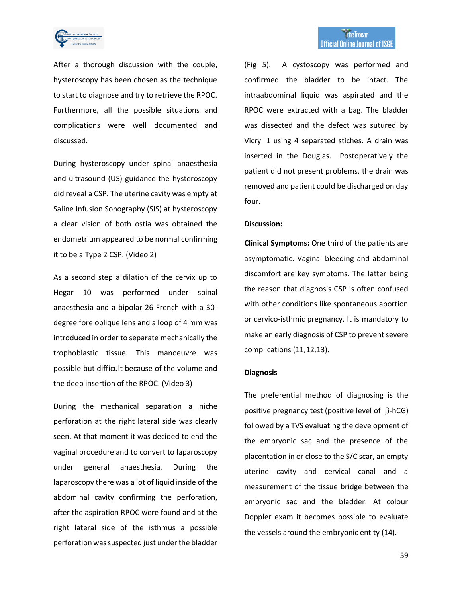

After a thorough discussion with the couple, hysteroscopy has been chosen as the technique to start to diagnose and try to retrieve the RPOC. Furthermore, all the possible situations and complications were well documented and discussed.

During hysteroscopy under spinal anaesthesia and ultrasound (US) guidance the hysteroscopy did reveal a CSP. The uterine cavity was empty at Saline Infusion Sonography (SIS) at hysteroscopy a clear vision of both ostia was obtained the endometrium appeared to be normal confirming it to be a Type 2 CSP. (Video 2)

As a second step a dilation of the cervix up to Hegar 10 was performed under spinal anaesthesia and a bipolar 26 French with a 30 degree fore oblique lens and a loop of 4 mm was introduced in order to separate mechanically the trophoblastic tissue. This manoeuvre was possible but difficult because of the volume and the deep insertion of the RPOC. (Video 3)

During the mechanical separation a niche perforation at the right lateral side was clearly seen. At that moment it was decided to end the vaginal procedure and to convert to laparoscopy under general anaesthesia. During the laparoscopy there was a lot of liquid inside of the abdominal cavity confirming the perforation, after the aspiration RPOC were found and at the right lateral side of the isthmus a possible perforation was suspected just under the bladder

(Fig 5). A cystoscopy was performed and confirmed the bladder to be intact. The intraabdominal liquid was aspirated and the RPOC were extracted with a bag. The bladder was dissected and the defect was sutured by Vicryl 1 using 4 separated stiches. A drain was inserted in the Douglas. Postoperatively the patient did not present problems, the drain was removed and patient could be discharged on day four.

## **Discussion:**

**Clinical Symptoms:** One third of the patients are asymptomatic. Vaginal bleeding and abdominal discomfort are key symptoms. The latter being the reason that diagnosis CSP is often confused with other conditions like spontaneous abortion or cervico-isthmic pregnancy. It is mandatory to make an early diagnosis of CSP to prevent severe complications (11,12,13).

## **Diagnosis**

The preferential method of diagnosing is the positive pregnancy test (positive level of  $\beta$ -hCG) followed by a TVS evaluating the development of the embryonic sac and the presence of the placentation in or close to the S/C scar, an empty uterine cavity and cervical canal and a measurement of the tissue bridge between the embryonic sac and the bladder. At colour Doppler exam it becomes possible to evaluate the vessels around the embryonic entity (14).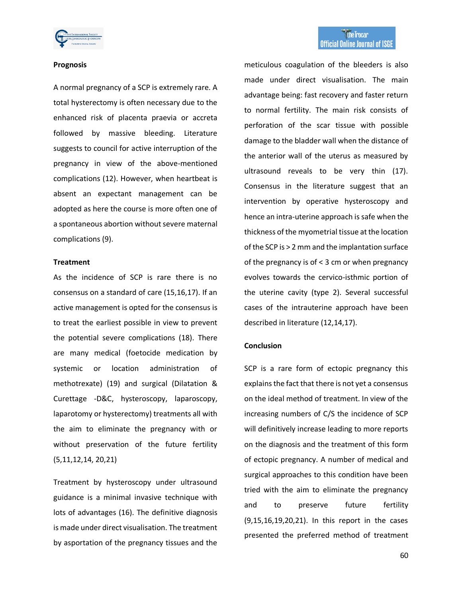

#### **Prognosis**

A normal pregnancy of a SCP is extremely rare. A total hysterectomy is often necessary due to the enhanced risk of placenta praevia or accreta followed by massive bleeding. Literature suggests to council for active interruption of the pregnancy in view of the above-mentioned complications (12). However, when heartbeat is absent an expectant management can be adopted as here the course is more often one of a spontaneous abortion without severe maternal complications (9).

## **Treatment**

As the incidence of SCP is rare there is no consensus on a standard of care (15,16,17). If an active management is opted for the consensus is to treat the earliest possible in view to prevent the potential severe complications (18). There are many medical (foetocide medication by systemic or location administration of methotrexate) (19) and surgical (Dilatation & Curettage -D&C, hysteroscopy, laparoscopy, laparotomy or hysterectomy) treatments all with the aim to eliminate the pregnancy with or without preservation of the future fertility (5,11,12,14, 20,21)

Treatment by hysteroscopy under ultrasound guidance is a minimal invasive technique with lots of advantages (16). The definitive diagnosis is made under direct visualisation. The treatment by asportation of the pregnancy tissues and the

meticulous coagulation of the bleeders is also made under direct visualisation. The main advantage being: fast recovery and faster return to normal fertility. The main risk consists of perforation of the scar tissue with possible damage to the bladder wall when the distance of the anterior wall of the uterus as measured by ultrasound reveals to be very thin (17). Consensus in the literature suggest that an intervention by operative hysteroscopy and hence an intra-uterine approach is safe when the thickness of the myometrial tissue at the location of the SCP is > 2 mm and the implantation surface of the pregnancy is of < 3 cm or when pregnancy evolves towards the cervico-isthmic portion of the uterine cavity (type 2). Several successful cases of the intrauterine approach have been described in literature (12,14,17).

#### **Conclusion**

SCP is a rare form of ectopic pregnancy this explains the fact that there is not yet a consensus on the ideal method of treatment. In view of the increasing numbers of C/S the incidence of SCP will definitively increase leading to more reports on the diagnosis and the treatment of this form of ectopic pregnancy. A number of medical and surgical approaches to this condition have been tried with the aim to eliminate the pregnancy and to preserve future fertility (9,15,16,19,20,21). In this report in the cases presented the preferred method of treatment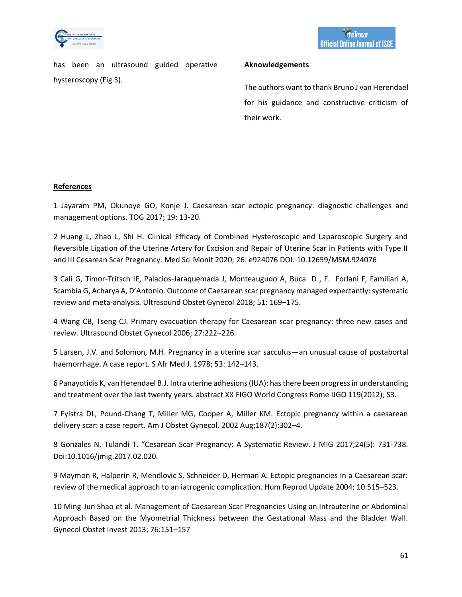

has been an ultrasound guided operative hysteroscopy (Fig 3).

## **Aknowledgements**

The authors want to thank Bruno J van Herendael for his guidance and constructive criticism of their work.

# **References**

1 Jayaram PM, Okunoye GO, Konje J. Caesarean scar ectopic pregnancy: diagnostic challenges and management options. TOG 2017; 19: 13-20.

2 Huang L, Zhao L, Shi H. Clinical Efficacy of Combined Hysteroscopic and Laparoscopic Surgery and Reversible Ligation of the Uterine Artery for Excision and Repair of Uterine Scar in Patients with Type II and III Cesarean Scar Pregnancy. Med Sci Monit 2020; 26: e924076 DOI: 10.12659/MSM.924076

3 Cali G, Timor-Tritsch IE, Palacios-Jaraquemada J, Monteaugudo A, Buca D , F. Forlani F, Familiari A, Scambia G, Acharya A, D'Antonio. Outcome of Caesarean scar pregnancy managed expectantly: systematic review and meta-analysis. Ultrasound Obstet Gynecol 2018; 51: 169–175.

4 Wang CB, Tseng CJ. Primary evacuation therapy for Caesarean scar pregnancy: three new cases and review. Ultrasound Obstet Gynecol 2006; 27:222–226.

5 Larsen, J.V. and Solomon, M.H. Pregnancy in a uterine scar sacculus—an unusual cause of postabortal haemorrhage. A case report. S Afr Med J. 1978; 53: 142–143.

6 Panayotidis K, van Herendael B.J. Intra uterine adhesions (IUA): has there been progress in understanding and treatment over the last twenty years. abstract XX FIGO World Congress Rome IJGO 119(2012); S3.

7 Fylstra DL, Pound-Chang T, Miller MG, Cooper A, Miller KM. Ectopic pregnancy within a caesarean delivery scar: a case report. Am J Obstet Gynecol. 2002 Aug;187(2):302–4.

8 Gonzales N, Tulandi T. "Cesarean Scar Pregnancy: A Systematic Review. J MIG 2017;24(5): 731-738. Doi:10.1016/jmig.2017.02.020.

9 Maymon R, Halperin R, Mendlovic S, Schneider D, Herman A. Ectopic pregnancies in a Caesarean scar: review of the medical approach to an iatrogenic complication. Hum Reprod Update 2004; 10:515–523.

10 Ming-Jun Shao et al. Management of Caesarean Scar Pregnancies Using an Intrauterine or Abdominal Approach Based on the Myometrial Thickness between the Gestational Mass and the Bladder Wall. Gynecol Obstet Invest 2013; 76:151–157